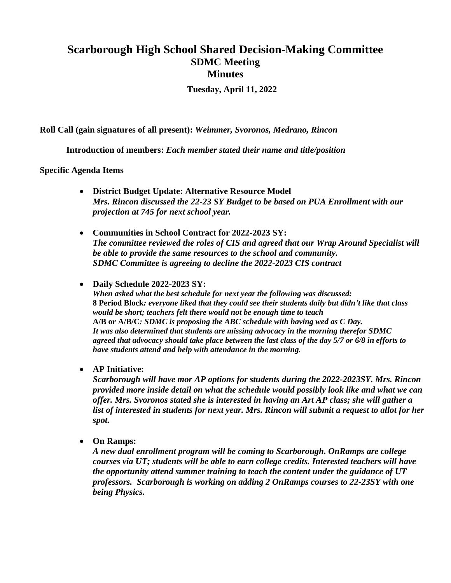## **Scarborough High School Shared Decision-Making Committee SDMC Meeting Minutes**

**Tuesday, April 11, 2022**

**Roll Call (gain signatures of all present):** *Weimmer, Svoronos, Medrano, Rincon* 

**Introduction of members:** *Each member stated their name and title/position* 

## **Specific Agenda Items**

- **District Budget Update: Alternative Resource Model** *Mrs. Rincon discussed the 22-23 SY Budget to be based on PUA Enrollment with our projection at 745 for next school year.*
- **Communities in School Contract for 2022-2023 SY:**  *The committee reviewed the roles of CIS and agreed that our Wrap Around Specialist will be able to provide the same resources to the school and community. SDMC Committee is agreeing to decline the 2022-2023 CIS contract*
- **Daily Schedule 2022-2023 SY:**

*When asked what the best schedule for next year the following was discussed:*  **8 Period Block***: everyone liked that they could see their students daily but didn't like that class would be short; teachers felt there would not be enough time to teach* **A/B or A/B/C***: SDMC is proposing the ABC schedule with having wed as C Day. It was also determined that students are missing advocacy in the morning therefor SDMC agreed that advocacy should take place between the last class of the day 5/7 or 6/8 in efforts to have students attend and help with attendance in the morning.* 

• **AP Initiative:** 

*Scarborough will have mor AP options for students during the 2022-2023SY. Mrs. Rincon provided more inside detail on what the schedule would possibly look like and what we can offer. Mrs. Svoronos stated she is interested in having an Art AP class; she will gather a list of interested in students for next year. Mrs. Rincon will submit a request to allot for her spot.*

• **On Ramps:**

*A new dual enrollment program will be coming to Scarborough. OnRamps are college courses via UT; students will be able to earn college credits. Interested teachers will have the opportunity attend summer training to teach the content under the guidance of UT professors. Scarborough is working on adding 2 OnRamps courses to 22-23SY with one being Physics.*